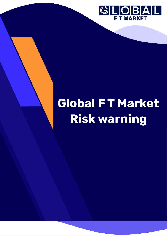

# **Global F T Market Risk warning**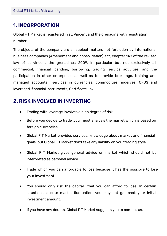## **ǻ. INCORPORATION**

Global F T Market is registered in st. Vincent and the grenadine with registration number.

The objects of the company are all subject matters not forbidden by international business companies (Amendment and consolidation) act, chapter 149 of the revised law of st vincent the grenadines 2009, in particular but not exclusively all commercial, financial, bending, borrowing, trading, service activities, and the participation in other enterprises as well as to provide brokerage, training and managed accounts services in currencies, commodities, inderves, CFDS and leveraged financial instruments, Certificate link.

### **Ǽ. RISK INVOLVED IN INVERTING**

- Trading with leverage involves a high degree of risk.
- Before you decide to trade ,you must analysis the market which is based on foreign currencies.
- Global F T Market provides services, knowledge about market and financial goals, but Global F T Market don't take any liability on your trading style.
- Global F T Market gives general advice on market which should not be interpreted as personal advice.
- Trade which you can affordable to loss because it has the possibile to lose your investment.
- You should only risk the capital that you can afford to lose. In certain situations, due to market fluctuation, you may not get back your initial investment amount.
- If you have any doubts, Global FT Market suggests you to contact us.